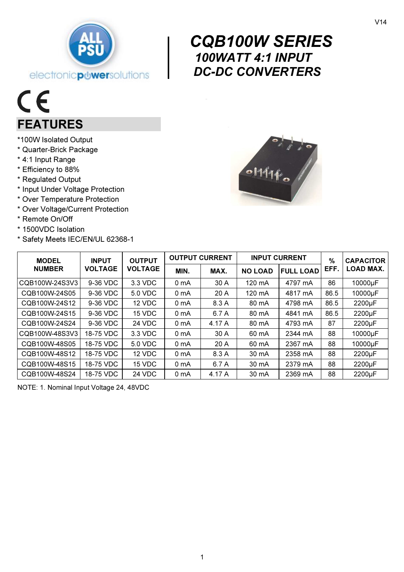

# $C \in$ FEATURES

- \*100W Isolated Output
- \* Quarter-Brick Package
- \* 4:1 Input Range
- \* Efficiency to 88%
- \* Regulated Output
- \* Input Under Voltage Protection
- \* Over Temperature Protection
- \* Over Voltage/Current Protection
- \* Remote On/Off
- \* 1500VDC Isolation
- \* Safety Meets IEC/EN/UL 62368-1

# $\begin{array}{c}\n C \\
10 \\
D\n\end{array}$  CQB100W SERIES 100WATT 4:1 INPUT DC-DC CONVERTERS



| <b>MODEL</b>   | <b>INPUT</b><br><b>VOLTAGE</b> | <b>OUTPUT</b><br><b>VOLTAGE</b> | <b>OUTPUT CURRENT</b> |        | <b>INPUT CURRENT</b> |                  | $\frac{9}{6}$ | <b>CAPACITOR</b>    |
|----------------|--------------------------------|---------------------------------|-----------------------|--------|----------------------|------------------|---------------|---------------------|
| <b>NUMBER</b>  |                                |                                 | MIN.                  | MAX.   | <b>NO LOAD</b>       | <b>FULL LOAD</b> | EFF.          | <b>LOAD MAX.</b>    |
| CQB100W-24S3V3 | 9-36 VDC                       | 3.3 VDC                         | 0 mA                  | 30 A   | 120 mA               | 4797 mA          | 86            | 10000µF             |
| CQB100W-24S05  | 9-36 VDC                       | 5.0 VDC                         | 0 mA                  | 20A    | 120 mA               | 4817 mA          | 86.5          | 10000µF             |
| CQB100W-24S12  | 9-36 VDC                       | 12 VDC                          | 0 mA                  | 8.3 A  | 80 mA                | 4798 mA          | 86.5          | 2200µF              |
| CQB100W-24S15  | 9-36 VDC                       | 15 VDC                          | 0 mA                  | 6.7 A  | 80 mA                | 4841 mA          | 86.5          | 2200µF              |
| CQB100W-24S24  | 9-36 VDC                       | 24 VDC                          | 0 <sub>mA</sub>       | 4.17 A | 80 mA                | 4793 mA          | 87            | 2200 <sub>µ</sub> F |
| CQB100W-48S3V3 | 18-75 VDC                      | 3.3 VDC                         | 0 mA                  | 30 A   | 60 mA                | 2344 mA          | 88            | 10000µF             |
| CQB100W-48S05  | 18-75 VDC                      | 5.0 VDC                         | 0 mA                  | 20A    | 60 mA                | 2367 mA          | 88            | 10000µF             |
| CQB100W-48S12  | 18-75 VDC                      | 12 VDC                          | 0 mA                  | 8.3 A  | 30 mA                | 2358 mA          | 88            | 2200µF              |
| CQB100W-48S15  | 18-75 VDC                      | 15 VDC                          | 0 mA                  | 6.7 A  | 30 mA                | 2379 mA          | 88            | 2200µF              |
| CQB100W-48S24  | 18-75 VDC                      | 24 VDC                          | 0 mA                  | 4.17 A | 30 mA                | 2369 mA          | 88            | 2200µF              |

NOTE: 1. Nominal Input Voltage 24, 48VDC